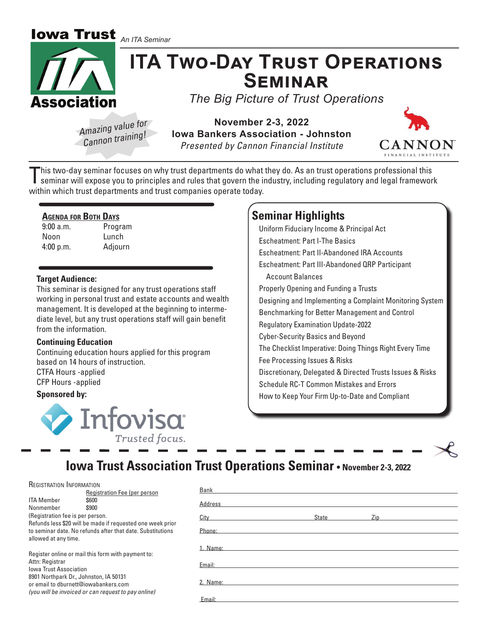**Iowa Trust** *An ITA Seminar*



### **ITA TWO-DAY TRUST OPERATIONS** S**EMINAR**

*The Big Picture of Trust Operations*

*Amazing value for Cannon training!*

**November 2-3, 2022 Iowa Bankers Association - Johnston** *Presented by Cannon Financial Institute*



This two-day seminar focuses on why trust departments do what they do. As an trust operations professional this<br>seminar will expose you to principles and rules that govern the industry, including regulatory and legal frame within which trust departments and trust companies operate today.

### **AGENDA FOR BOTH DAYS**

9:00 a.m. Program Noon Lunch 4:00 p.m. Adjourn

### **Target Audience:**

This seminar is designed for any trust operations staff working in personal trust and estate accounts and wealth management. It is developed at the beginning to intermediate level, but any trust operations staff will gain benefit from the information.

### **Continuing Education**

Continuing education hours applied for this program based on 14 hours of instruction.

CTFA Hours -applied CFP Hours -applied

### **Sponsored by:**



### **Seminar Highlights**

Uniform Fiduciary Income & Principal Act Escheatment: Part I-The Basics Escheatment: Part II-Abandoned IRA Accounts Escheatment: Part III-Abandoned QRP Participant Account Balances Properly Opening and Funding a Trusts Designing and Implementing a Complaint Monitoring System Benchmarking for Better Management and Control Regulatory Examination Update-2022 Cyber-Security Basics and Beyond The Checklist Imperative: Doing Things Right Every Time Fee Processing Issues & Risks Discretionary, Delegated & Directed Trusts Issues & Risks Schedule RC-T Common Mistakes and Errors How to Keep Your Firm Up-to-Date and Compliant

### **Iowa Trust Association Trust Operations Seminar • November 2-3, 2022**

| REGISTRATION INFORMATION                                                                                                                                                                                                                        |                                                            |          |       |     |  |
|-------------------------------------------------------------------------------------------------------------------------------------------------------------------------------------------------------------------------------------------------|------------------------------------------------------------|----------|-------|-----|--|
|                                                                                                                                                                                                                                                 | Registration Fee (per person                               | Bank     |       |     |  |
| <b>ITA Member</b>                                                                                                                                                                                                                               | \$600                                                      | Address  |       |     |  |
| Nonmember                                                                                                                                                                                                                                       | \$900                                                      |          |       |     |  |
| (Registration fee is per person.                                                                                                                                                                                                                |                                                            | City     | State | Zip |  |
|                                                                                                                                                                                                                                                 | Refunds less \$20 will be made if requested one week prior |          |       |     |  |
| to seminar date. No refunds after that date. Substitutions                                                                                                                                                                                      |                                                            | Phone:   |       |     |  |
| allowed at any time.                                                                                                                                                                                                                            |                                                            |          |       |     |  |
| Register online or mail this form with payment to:<br>Attn: Registrar<br><b>Iowa Trust Association</b><br>8901 Northpark Dr., Johnston, IA 50131<br>or email to dburnett@iowabankers.com<br>(you will be invoiced or can request to pay online) |                                                            | 1. Name: |       |     |  |
|                                                                                                                                                                                                                                                 |                                                            |          |       |     |  |
|                                                                                                                                                                                                                                                 |                                                            | Email:   |       |     |  |
|                                                                                                                                                                                                                                                 |                                                            |          |       |     |  |
|                                                                                                                                                                                                                                                 |                                                            | 2. Name: |       |     |  |
|                                                                                                                                                                                                                                                 |                                                            |          |       |     |  |
|                                                                                                                                                                                                                                                 |                                                            |          |       |     |  |
|                                                                                                                                                                                                                                                 |                                                            | Email:   |       |     |  |